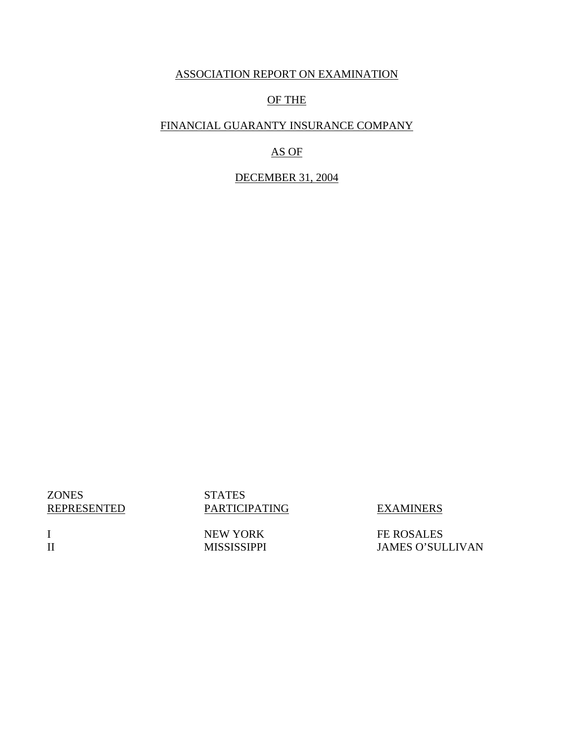## ASSOCIATION REPORT ON EXAMINATION

## OF THE

# FINANCIAL GUARANTY INSURANCE COMPANY

# AS OF

## DECEMBER 31, 2004

**ZONES** REPRESENTED STATES PARTICIPATING EXAMINERS

FE ROSALES JAMES O'SULLIVAN

I II NEW YORK MISSISSIPPI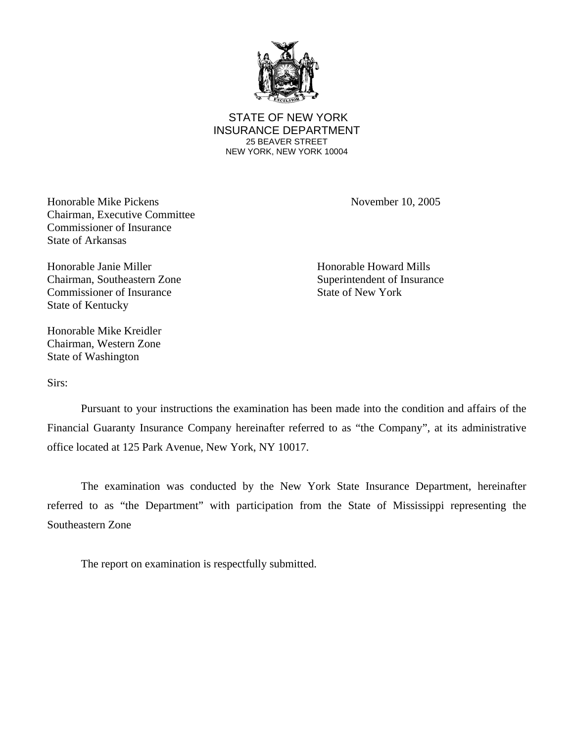

 STATE OF NEW YORK INSURANCE DEPARTMENT 25 BEAVER STREET NEW YORK, NEW YORK 10004

Honorable Mike Pickens November 10, 2005 Chairman, Executive Committee Commissioner of Insurance State of Arkansas

Honorable Janie Miller Honorable Howard Mills Chairman, Southeastern Zone Superintendent of Insurance Commissioner of Insurance State of New York State of Kentucky

Honorable Mike Kreidler Chairman, Western Zone State of Washington

Sirs:

Pursuant to your instructions the examination has been made into the condition and affairs of the Financial Guaranty Insurance Company hereinafter referred to as "the Company", at its administrative office located at 125 Park Avenue, New York, NY 10017.

The examination was conducted by the New York State Insurance Department, hereinafter referred to as "the Department" with participation from the State of Mississippi representing the Southeastern Zone

The report on examination is respectfully submitted.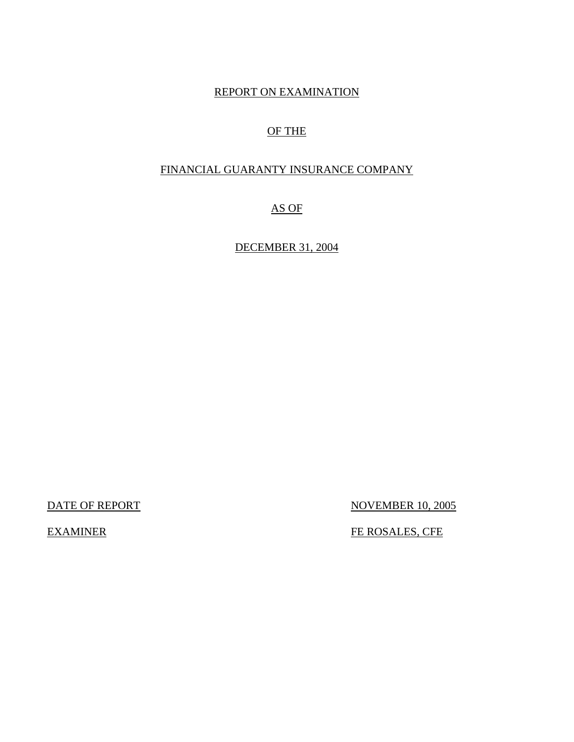# REPORT ON EXAMINATION

# OF THE

## FINANCIAL GUARANTY INSURANCE COMPANY

AS OF

DECEMBER 31, 2004

DATE OF REPORT NOVEMBER 10, 2005

EXAMINER FE ROSALES, CFE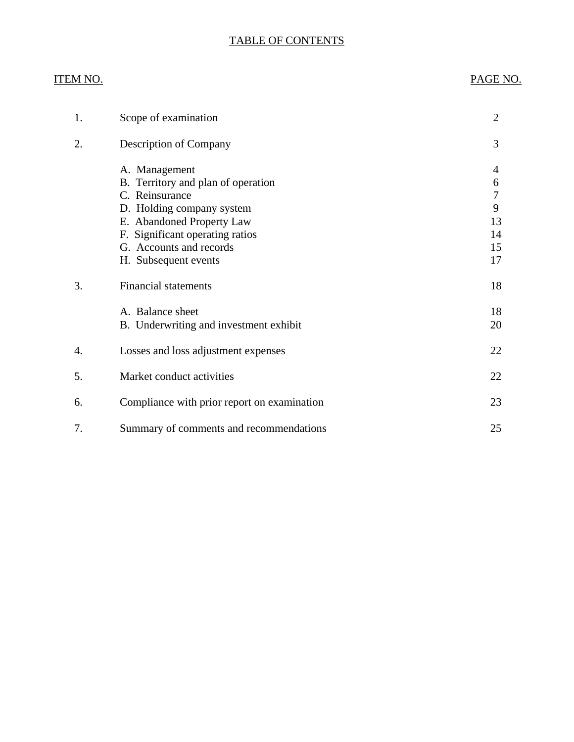# TABLE OF CONTENTS

# ITEM NO. PAGE NO.

| 1. | Scope of examination                                                                                                                                                                                                  | $\overline{2}$                                        |
|----|-----------------------------------------------------------------------------------------------------------------------------------------------------------------------------------------------------------------------|-------------------------------------------------------|
| 2. | <b>Description of Company</b>                                                                                                                                                                                         | 3                                                     |
|    | A. Management<br>B. Territory and plan of operation<br>C. Reinsurance<br>D. Holding company system<br>E. Abandoned Property Law<br>F. Significant operating ratios<br>G. Accounts and records<br>H. Subsequent events | 4<br>6<br>$\overline{7}$<br>9<br>13<br>14<br>15<br>17 |
| 3. | <b>Financial statements</b>                                                                                                                                                                                           | 18                                                    |
|    | A. Balance sheet<br>B. Underwriting and investment exhibit                                                                                                                                                            | 18<br>20                                              |
| 4. | Losses and loss adjustment expenses                                                                                                                                                                                   | 22                                                    |
| 5. | Market conduct activities                                                                                                                                                                                             | 22                                                    |
| 6. | Compliance with prior report on examination                                                                                                                                                                           | 23                                                    |
| 7. | Summary of comments and recommendations                                                                                                                                                                               | 25                                                    |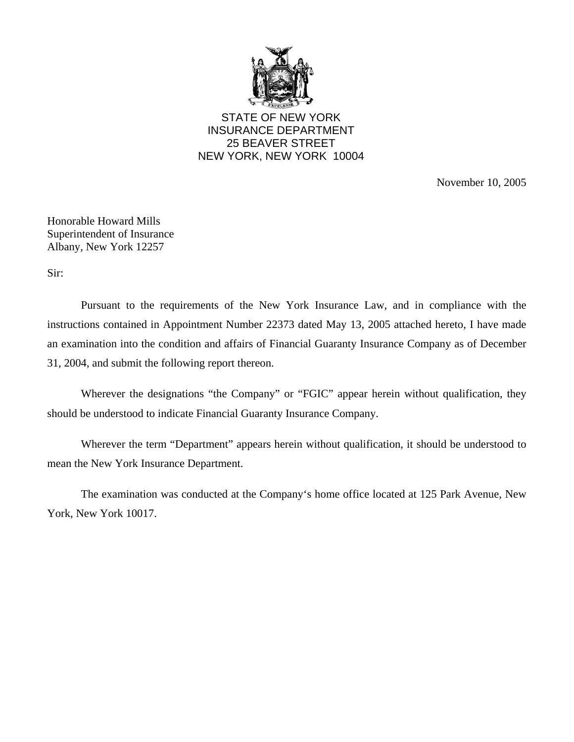

STATE OF NEW YORK INSURANCE DEPARTMENT 25 BEAVER STREET NEW YORK, NEW YORK 10004

November 10, 2005

Honorable Howard Mills Superintendent of Insurance Albany, New York 12257

Sir:

Pursuant to the requirements of the New York Insurance Law, and in compliance with the instructions contained in Appointment Number 22373 dated May 13, 2005 attached hereto, I have made an examination into the condition and affairs of Financial Guaranty Insurance Company as of December 31, 2004, and submit the following report thereon.

Wherever the designations "the Company" or "FGIC" appear herein without qualification, they should be understood to indicate Financial Guaranty Insurance Company.

Wherever the term "Department" appears herein without qualification, it should be understood to mean the New York Insurance Department.

The examination was conducted at the Company's home office located at 125 Park Avenue, New York, New York 10017.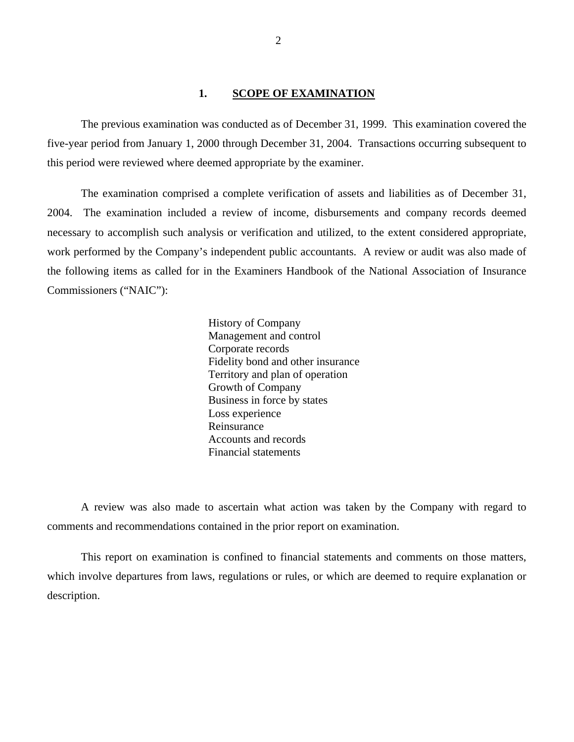## **1. SCOPE OF EXAMINATION**

<span id="page-5-0"></span>The previous examination was conducted as of December 31, 1999. This examination covered the five-year period from January 1, 2000 through December 31, 2004. Transactions occurring subsequent to this period were reviewed where deemed appropriate by the examiner.

The examination comprised a complete verification of assets and liabilities as of December 31, 2004. The examination included a review of income, disbursements and company records deemed necessary to accomplish such analysis or verification and utilized, to the extent considered appropriate, work performed by the Company's independent public accountants. A review or audit was also made of the following items as called for in the Examiners Handbook of the National Association of Insurance Commissioners ("NAIC"):

> History of Company Management and control Corporate records Fidelity bond and other insurance Territory and plan of operation Growth of Company Business in force by states Loss experience Reinsurance Accounts and records Financial statements

A review was also made to ascertain what action was taken by the Company with regard to comments and recommendations contained in the prior report on examination.

This report on examination is confined to financial statements and comments on those matters, which involve departures from laws, regulations or rules, or which are deemed to require explanation or description.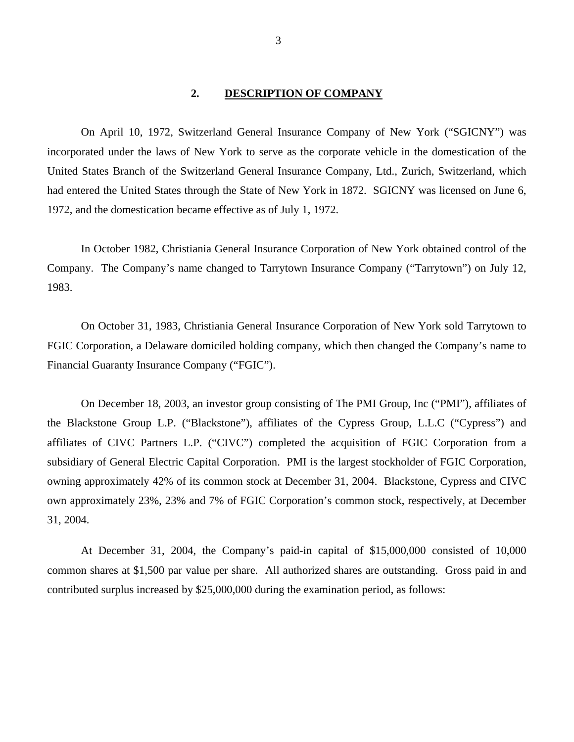## **2. DESCRIPTION OF COMPANY**

<span id="page-6-0"></span>On April 10, 1972, Switzerland General Insurance Company of New York ("SGICNY") was incorporated under the laws of New York to serve as the corporate vehicle in the domestication of the United States Branch of the Switzerland General Insurance Company, Ltd., Zurich, Switzerland, which had entered the United States through the State of New York in 1872. SGICNY was licensed on June 6, 1972, and the domestication became effective as of July 1, 1972.

In October 1982, Christiania General Insurance Corporation of New York obtained control of the Company. The Company's name changed to Tarrytown Insurance Company ("Tarrytown") on July 12, 1983.

On October 31, 1983, Christiania General Insurance Corporation of New York sold Tarrytown to FGIC Corporation, a Delaware domiciled holding company, which then changed the Company's name to Financial Guaranty Insurance Company ("FGIC").

On December 18, 2003, an investor group consisting of The PMI Group, Inc ("PMI"), affiliates of the Blackstone Group L.P. ("Blackstone"), affiliates of the Cypress Group, L.L.C ("Cypress") and affiliates of CIVC Partners L.P. ("CIVC") completed the acquisition of FGIC Corporation from a subsidiary of General Electric Capital Corporation. PMI is the largest stockholder of FGIC Corporation, owning approximately 42% of its common stock at December 31, 2004. Blackstone, Cypress and CIVC own approximately 23%, 23% and 7% of FGIC Corporation's common stock, respectively, at December 31, 2004.

At December 31, 2004, the Company's paid-in capital of \$15,000,000 consisted of 10,000 common shares at \$1,500 par value per share. All authorized shares are outstanding. Gross paid in and contributed surplus increased by \$25,000,000 during the examination period, as follows: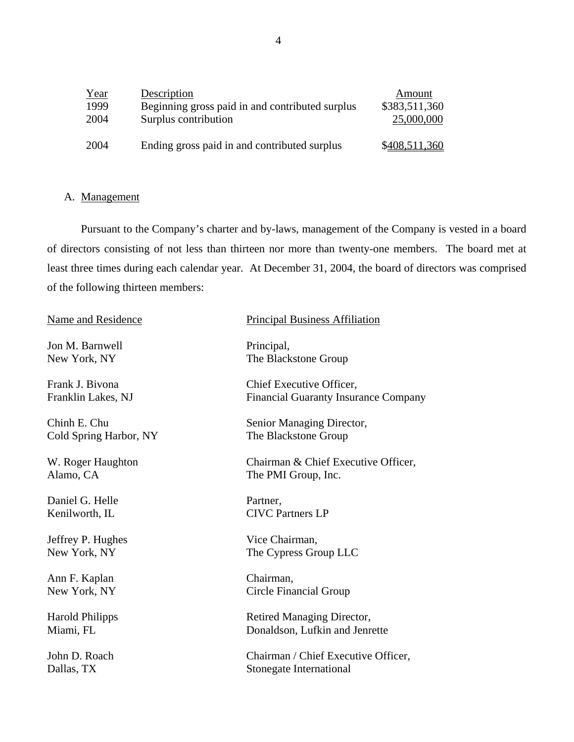| Year | Description                                     | Amount        |
|------|-------------------------------------------------|---------------|
| 1999 | Beginning gross paid in and contributed surplus | \$383,511,360 |
| 2004 | Surplus contribution                            | 25,000,000    |
| 2004 | Ending gross paid in and contributed surplus    | \$408,511,360 |

# A. Management

Pursuant to the Company's charter and by-laws, management of the Company is vested in a board of directors consisting of not less than thirteen nor more than twenty-one members. The board met at least three times during each calendar year. At December 31, 2004, the board of directors was comprised of the following thirteen members:

| Name and Residence     | <b>Principal Business Affiliation</b>       |
|------------------------|---------------------------------------------|
| Jon M. Barnwell        | Principal,                                  |
| New York, NY           | The Blackstone Group                        |
| Frank J. Bivona        | Chief Executive Officer,                    |
| Franklin Lakes, NJ     | <b>Financial Guaranty Insurance Company</b> |
| Chinh E. Chu           | Senior Managing Director,                   |
| Cold Spring Harbor, NY | The Blackstone Group                        |
| W. Roger Haughton      | Chairman & Chief Executive Officer,         |
| Alamo, CA              | The PMI Group, Inc.                         |
| Daniel G. Helle        | Partner,                                    |
| Kenilworth, IL         | <b>CIVC Partners LP</b>                     |
| Jeffrey P. Hughes      | Vice Chairman,                              |
| New York, NY           | The Cypress Group LLC                       |
| Ann F. Kaplan          | Chairman,                                   |
| New York, NY           | Circle Financial Group                      |
| <b>Harold Philipps</b> | Retired Managing Director,                  |
| Miami, FL              | Donaldson, Lufkin and Jenrette              |
| John D. Roach          | Chairman / Chief Executive Officer,         |
| Dallas, TX             | Stonegate International                     |
|                        |                                             |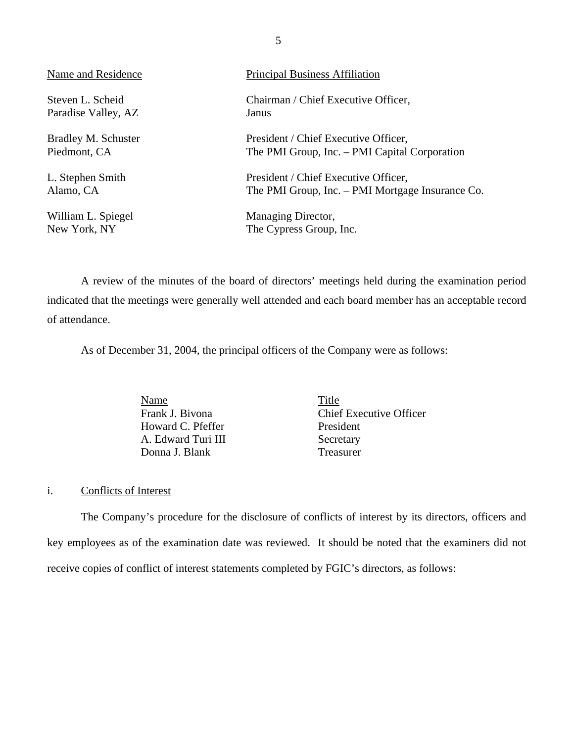| Name and Residence  | <b>Principal Business Affiliation</b>            |
|---------------------|--------------------------------------------------|
| Steven L. Scheid    | Chairman / Chief Executive Officer,              |
| Paradise Valley, AZ | Janus                                            |
| Bradley M. Schuster | President / Chief Executive Officer,             |
| Piedmont, CA        | The PMI Group, Inc. – PMI Capital Corporation    |
| L. Stephen Smith    | President / Chief Executive Officer,             |
| Alamo, CA           | The PMI Group, Inc. – PMI Mortgage Insurance Co. |
| William L. Spiegel  | Managing Director,                               |
| New York, NY        | The Cypress Group, Inc.                          |

A review of the minutes of the board of directors' meetings held during the examination period indicated that the meetings were generally well attended and each board member has an acceptable record of attendance.

As of December 31, 2004, the principal officers of the Company were as follows:

Name Title Howard C. Pfeffer President A. Edward Turi III Secretary Donna J. Blank Treasurer

Frank J. Bivona Chief Executive Officer

## i. Conflicts of Interest

The Company's procedure for the disclosure of conflicts of interest by its directors, officers and key employees as of the examination date was reviewed. It should be noted that the examiners did not receive copies of conflict of interest statements completed by FGIC's directors, as follows: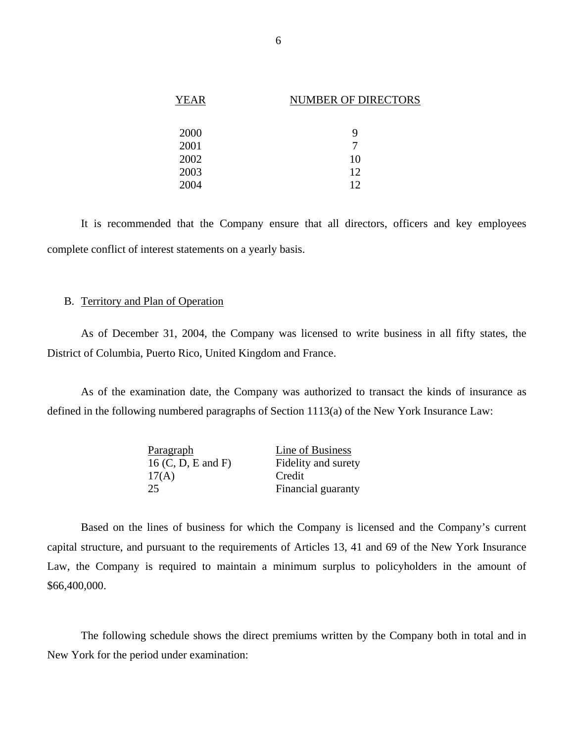| <b>YEAR</b> | <b>NUMBER OF DIRECTORS</b> |
|-------------|----------------------------|
|             |                            |
| 2000        | 9                          |
| 2001        |                            |
| 2002        | 10                         |
| 2003        | 12                         |
| 2004        | 12                         |

It is recommended that the Company ensure that all directors, officers and key employees complete conflict of interest statements on a yearly basis.

## B. Territory and Plan of Operation

As of December 31, 2004, the Company was licensed to write business in all fifty states, the District of Columbia, Puerto Rico, United Kingdom and France.

As of the examination date, the Company was authorized to transact the kinds of insurance as defined in the following numbered paragraphs of Section 1113(a) of the New York Insurance Law:

| Paragraph            | Line of Business    |
|----------------------|---------------------|
| $16$ (C, D, E and F) | Fidelity and surety |
| 17(A)                | Credit              |
| 25                   | Financial guaranty  |

Based on the lines of business for which the Company is licensed and the Company's current capital structure, and pursuant to the requirements of Articles 13, 41 and 69 of the New York Insurance Law, the Company is required to maintain a minimum surplus to policyholders in the amount of \$66,400,000.

The following schedule shows the direct premiums written by the Company both in total and in New York for the period under examination: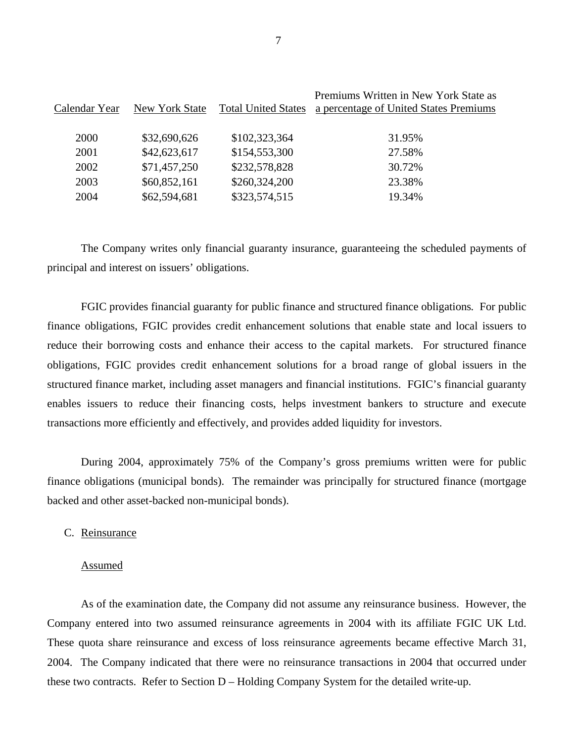| Calendar Year | New York State | <b>Total United States</b> | Premiums Written in New York State as<br>a percentage of United States Premiums |
|---------------|----------------|----------------------------|---------------------------------------------------------------------------------|
| 2000          | \$32,690,626   | \$102,323,364              | 31.95%                                                                          |
| 2001          | \$42,623,617   | \$154,553,300              | 27.58%                                                                          |
| 2002          | \$71,457,250   | \$232,578,828              | 30.72%                                                                          |
| 2003          | \$60,852,161   | \$260,324,200              | 23.38%                                                                          |
| 2004          | \$62,594,681   | \$323,574,515              | 19.34%                                                                          |

The Company writes only financial guaranty insurance, guaranteeing the scheduled payments of principal and interest on issuers' obligations.

FGIC provides financial guaranty for public finance and structured finance obligations*.* For public finance obligations, FGIC provides credit enhancement solutions that enable state and local issuers to reduce their borrowing costs and enhance their access to the capital markets. For structured finance obligations, FGIC provides credit enhancement solutions for a broad range of global issuers in the structured finance market, including asset managers and financial institutions. FGIC's financial guaranty enables issuers to reduce their financing costs, helps investment bankers to structure and execute transactions more efficiently and effectively, and provides added liquidity for investors.

During 2004, approximately 75% of the Company's gross premiums written were for public finance obligations (municipal bonds). The remainder was principally for structured finance (mortgage backed and other asset-backed non-municipal bonds).

## C. Reinsurance

#### Assumed

As of the examination date, the Company did not assume any reinsurance business. However, the Company entered into two assumed reinsurance agreements in 2004 with its affiliate FGIC UK Ltd. These quota share reinsurance and excess of loss reinsurance agreements became effective March 31, 2004. The Company indicated that there were no reinsurance transactions in 2004 that occurred under these two contracts. Refer to Section D – Holding Company System for the detailed write-up.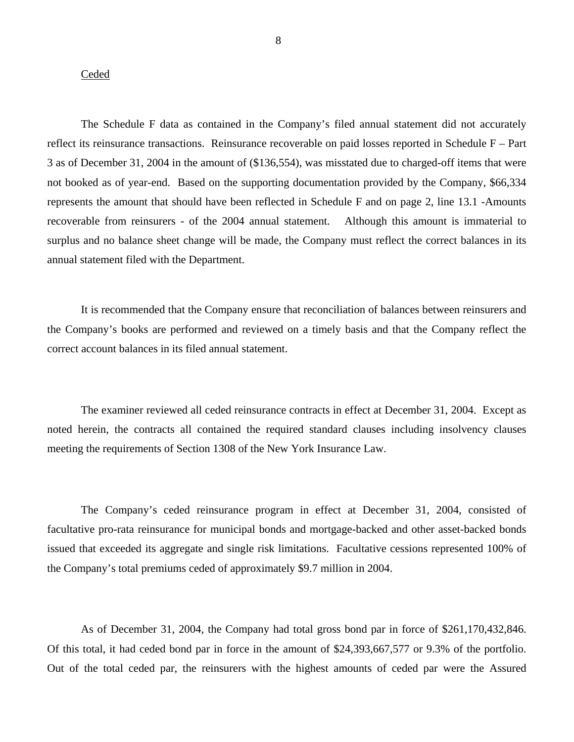## **Ceded**

The Schedule F data as contained in the Company's filed annual statement did not accurately reflect its reinsurance transactions. Reinsurance recoverable on paid losses reported in Schedule F – Part 3 as of December 31, 2004 in the amount of (\$136,554), was misstated due to charged-off items that were not booked as of year-end. Based on the supporting documentation provided by the Company, \$66,334 represents the amount that should have been reflected in Schedule F and on page 2, line 13.1 -Amounts recoverable from reinsurers - of the 2004 annual statement. Although this amount is immaterial to surplus and no balance sheet change will be made, the Company must reflect the correct balances in its annual statement filed with the Department.

It is recommended that the Company ensure that reconciliation of balances between reinsurers and the Company's books are performed and reviewed on a timely basis and that the Company reflect the correct account balances in its filed annual statement.

The examiner reviewed all ceded reinsurance contracts in effect at December 31, 2004. Except as noted herein, the contracts all contained the required standard clauses including insolvency clauses meeting the requirements of Section 1308 of the New York Insurance Law.

The Company's ceded reinsurance program in effect at December 31, 2004, consisted of facultative pro-rata reinsurance for municipal bonds and mortgage-backed and other asset-backed bonds issued that exceeded its aggregate and single risk limitations. Facultative cessions represented 100% of the Company's total premiums ceded of approximately \$9.7 million in 2004.

As of December 31, 2004, the Company had total gross bond par in force of \$261,170,432,846. Of this total, it had ceded bond par in force in the amount of \$24,393,667,577 or 9.3% of the portfolio. Out of the total ceded par, the reinsurers with the highest amounts of ceded par were the Assured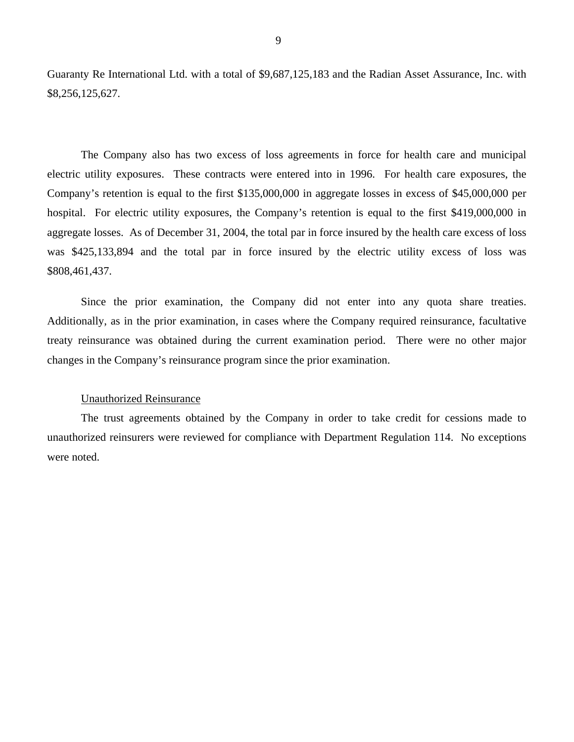<span id="page-12-0"></span>Guaranty Re International Ltd. with a total of \$9,687,125,183 and the Radian Asset Assurance, Inc. with \$8,256,125,627.

The Company also has two excess of loss agreements in force for health care and municipal electric utility exposures. These contracts were entered into in 1996. For health care exposures, the Company's retention is equal to the first \$135,000,000 in aggregate losses in excess of \$45,000,000 per hospital. For electric utility exposures, the Company's retention is equal to the first \$419,000,000 in aggregate losses. As of December 31, 2004, the total par in force insured by the health care excess of loss was \$425,133,894 and the total par in force insured by the electric utility excess of loss was \$808,461,437.

Since the prior examination, the Company did not enter into any quota share treaties. Additionally, as in the prior examination, in cases where the Company required reinsurance, facultative treaty reinsurance was obtained during the current examination period. There were no other major changes in the Company's reinsurance program since the prior examination.

## Unauthorized Reinsurance

The trust agreements obtained by the Company in order to take credit for cessions made to unauthorized reinsurers were reviewed for compliance with Department Regulation 114. No exceptions were noted.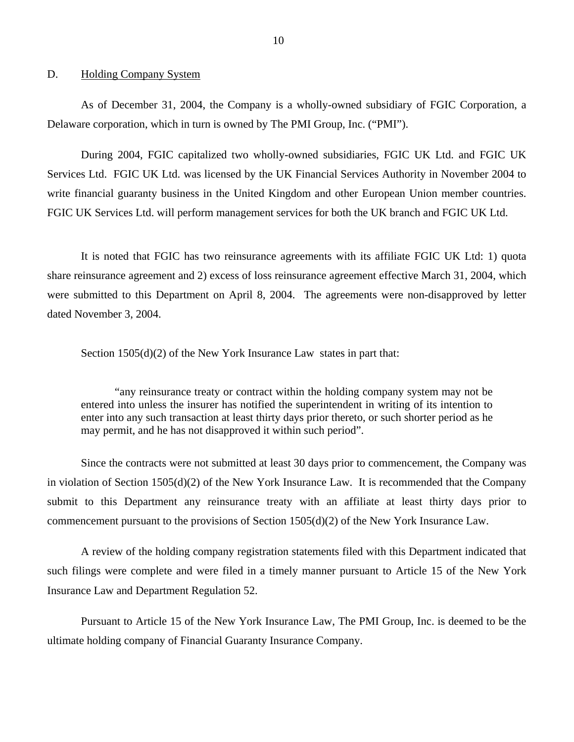### D. Holding Company System

As of December 31, 2004, the Company is a wholly-owned subsidiary of FGIC Corporation, a Delaware corporation, which in turn is owned by The PMI Group, Inc. ("PMI").

During 2004, FGIC capitalized two wholly-owned subsidiaries, FGIC UK Ltd. and FGIC UK Services Ltd. FGIC UK Ltd. was licensed by the UK Financial Services Authority in November 2004 to write financial guaranty business in the United Kingdom and other European Union member countries. FGIC UK Services Ltd. will perform management services for both the UK branch and FGIC UK Ltd.

It is noted that FGIC has two reinsurance agreements with its affiliate FGIC UK Ltd: 1) quota share reinsurance agreement and 2) excess of loss reinsurance agreement effective March 31, 2004, which were submitted to this Department on April 8, 2004. The agreements were non-disapproved by letter dated November 3, 2004.

Section 1505(d)(2) of the New York Insurance Law states in part that:

"any reinsurance treaty or contract within the holding company system may not be entered into unless the insurer has notified the superintendent in writing of its intention to enter into any such transaction at least thirty days prior thereto, or such shorter period as he may permit, and he has not disapproved it within such period".

Since the contracts were not submitted at least 30 days prior to commencement, the Company was in violation of Section 1505(d)(2) of the New York Insurance Law. It is recommended that the Company submit to this Department any reinsurance treaty with an affiliate at least thirty days prior to commencement pursuant to the provisions of Section 1505(d)(2) of the New York Insurance Law.

A review of the holding company registration statements filed with this Department indicated that such filings were complete and were filed in a timely manner pursuant to Article 15 of the New York Insurance Law and Department Regulation 52.

Pursuant to Article 15 of the New York Insurance Law, The PMI Group, Inc. is deemed to be the ultimate holding company of Financial Guaranty Insurance Company.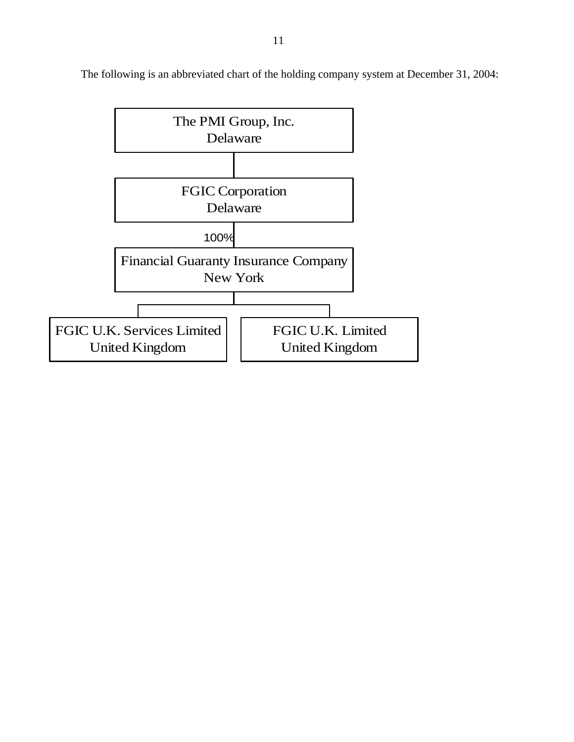

The following is an abbreviated chart of the holding company system at December 31, 2004: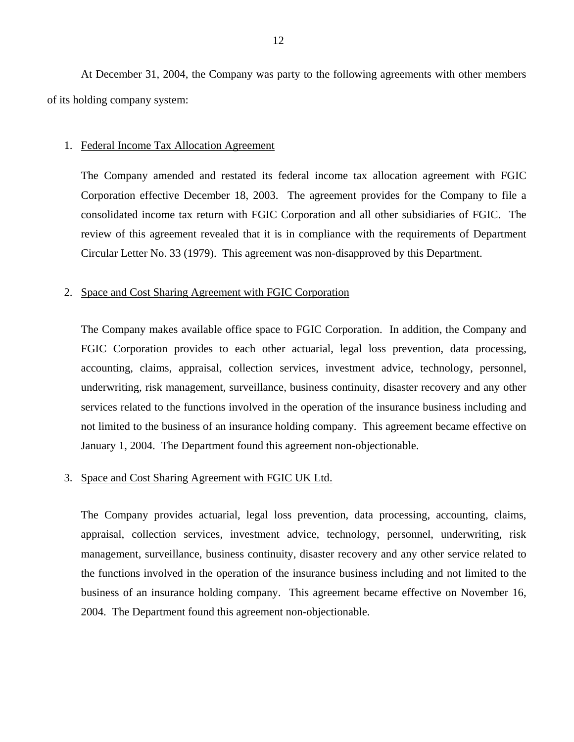At December 31, 2004, the Company was party to the following agreements with other members of its holding company system:

#### 1. Federal Income Tax Allocation Agreement

The Company amended and restated its federal income tax allocation agreement with FGIC Corporation effective December 18, 2003. The agreement provides for the Company to file a consolidated income tax return with FGIC Corporation and all other subsidiaries of FGIC. The review of this agreement revealed that it is in compliance with the requirements of Department Circular Letter No. 33 (1979). This agreement was non-disapproved by this Department.

### 2. Space and Cost Sharing Agreement with FGIC Corporation

The Company makes available office space to FGIC Corporation. In addition, the Company and FGIC Corporation provides to each other actuarial, legal loss prevention, data processing, accounting, claims, appraisal, collection services, investment advice, technology, personnel, underwriting, risk management, surveillance, business continuity, disaster recovery and any other services related to the functions involved in the operation of the insurance business including and not limited to the business of an insurance holding company. This agreement became effective on January 1, 2004. The Department found this agreement non-objectionable.

## 3. Space and Cost Sharing Agreement with FGIC UK Ltd.

The Company provides actuarial, legal loss prevention, data processing, accounting, claims, appraisal, collection services, investment advice, technology, personnel, underwriting, risk management, surveillance, business continuity, disaster recovery and any other service related to the functions involved in the operation of the insurance business including and not limited to the business of an insurance holding company. This agreement became effective on November 16, 2004. The Department found this agreement non-objectionable.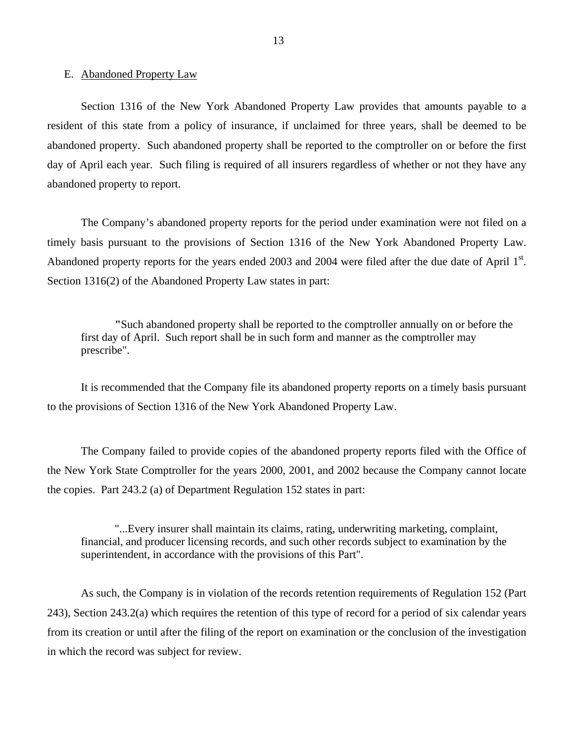### <span id="page-16-0"></span>E. Abandoned Property Law

Section 1316 of the New York Abandoned Property Law provides that amounts payable to a resident of this state from a policy of insurance, if unclaimed for three years, shall be deemed to be abandoned property. Such abandoned property shall be reported to the comptroller on or before the first day of April each year. Such filing is required of all insurers regardless of whether or not they have any abandoned property to report.

The Company's abandoned property reports for the period under examination were not filed on a timely basis pursuant to the provisions of Section 1316 of the New York Abandoned Property Law. Abandoned property reports for the years ended 2003 and 2004 were filed after the due date of April  $1<sup>st</sup>$ . Section 1316(2) of the Abandoned Property Law states in part:

**"**Such abandoned property shall be reported to the comptroller annually on or before the first day of April. Such report shall be in such form and manner as the comptroller may prescribe".

It is recommended that the Company file its abandoned property reports on a timely basis pursuant to the provisions of Section 1316 of the New York Abandoned Property Law.

The Company failed to provide copies of the abandoned property reports filed with the Office of the New York State Comptroller for the years 2000, 2001, and 2002 because the Company cannot locate the copies. Part 243.2 (a) of Department Regulation 152 states in part:

"...Every insurer shall maintain its claims, rating, underwriting marketing, complaint, financial, and producer licensing records, and such other records subject to examination by the superintendent, in accordance with the provisions of this Part".

As such, the Company is in violation of the records retention requirements of Regulation 152 (Part 243), Section 243.2(a) which requires the retention of this type of record for a period of six calendar years from its creation or until after the filing of the report on examination or the conclusion of the investigation in which the record was subject for review.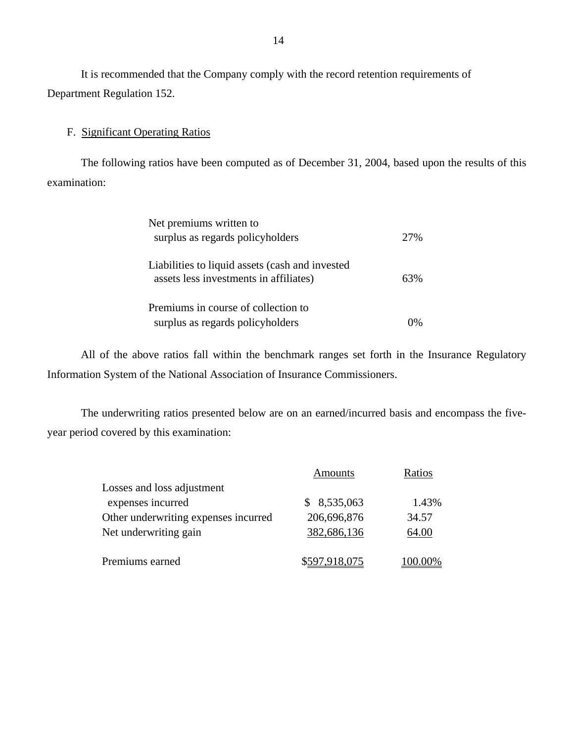It is recommended that the Company comply with the record retention requirements of Department Regulation 152.

## F. Significant Operating Ratios

The following ratios have been computed as of December 31, 2004, based upon the results of this examination:

| Net premiums written to                                                                   |      |
|-------------------------------------------------------------------------------------------|------|
| surplus as regards policyholders                                                          | 2.7% |
| Liabilities to liquid assets (cash and invested<br>assets less investments in affiliates) | 63%  |
| Premiums in course of collection to<br>surplus as regards policyholders                   |      |

All of the above ratios fall within the benchmark ranges set forth in the Insurance Regulatory Information System of the National Association of Insurance Commissioners.

The underwriting ratios presented below are on an earned/incurred basis and encompass the fiveyear period covered by this examination:

|                                      | <b>Amounts</b> | Ratios  |
|--------------------------------------|----------------|---------|
| Losses and loss adjustment           |                |         |
| expenses incurred                    | \$8,535,063    | 1.43%   |
| Other underwriting expenses incurred | 206,696,876    | 34.57   |
| Net underwriting gain                | 382,686,136    | 64.00   |
| Premiums earned                      | \$597,918,075  | 100.00% |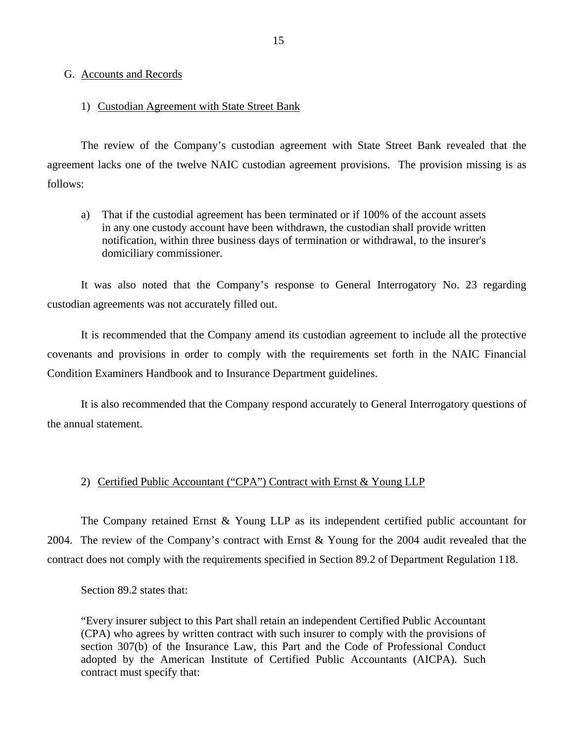## <span id="page-18-0"></span>G. Accounts and Records

## 1) Custodian Agreement with State Street Bank

The review of the Company's custodian agreement with State Street Bank revealed that the agreement lacks one of the twelve NAIC custodian agreement provisions. The provision missing is as follows:

a) That if the custodial agreement has been terminated or if 100% of the account assets in any one custody account have been withdrawn, the custodian shall provide written notification, within three business days of termination or withdrawal, to the insurer's domiciliary commissioner.

It was also noted that the Company's response to General Interrogatory No. 23 regarding custodian agreements was not accurately filled out.

It is recommended that the Company amend its custodian agreement to include all the protective covenants and provisions in order to comply with the requirements set forth in the NAIC Financial Condition Examiners Handbook and to Insurance Department guidelines.

It is also recommended that the Company respond accurately to General Interrogatory questions of the annual statement.

## 2) Certified Public Accountant ("CPA") Contract with Ernst & Young LLP

The Company retained Ernst & Young LLP as its independent certified public accountant for 2004. The review of the Company's contract with Ernst & Young for the 2004 audit revealed that the contract does not comply with the requirements specified in Section 89.2 of Department Regulation 118.

Section 89.2 states that:

"Every insurer subject to this Part shall retain an independent Certified Public Accountant (CPA) who agrees by written contract with such insurer to comply with the provisions of section 307(b) of the Insurance Law, this Part and the Code of Professional Conduct adopted by the American Institute of Certified Public Accountants (AICPA). Such contract must specify that: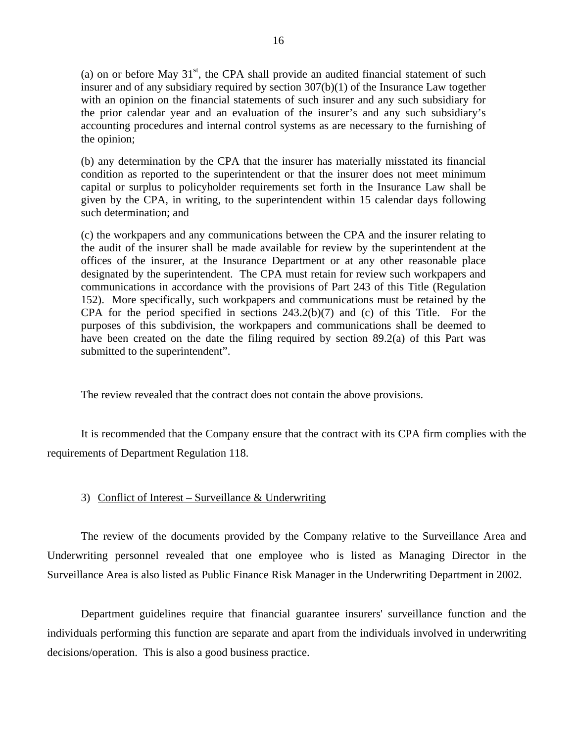(a) on or before May  $31<sup>st</sup>$ , the CPA shall provide an audited financial statement of such insurer and of any subsidiary required by section 307(b)(1) of the Insurance Law together with an opinion on the financial statements of such insurer and any such subsidiary for the prior calendar year and an evaluation of the insurer's and any such subsidiary's accounting procedures and internal control systems as are necessary to the furnishing of the opinion;

(b) any determination by the CPA that the insurer has materially misstated its financial condition as reported to the superintendent or that the insurer does not meet minimum capital or surplus to policyholder requirements set forth in the Insurance Law shall be given by the CPA, in writing, to the superintendent within 15 calendar days following such determination; and

(c) the workpapers and any communications between the CPA and the insurer relating to the audit of the insurer shall be made available for review by the superintendent at the offices of the insurer, at the Insurance Department or at any other reasonable place designated by the superintendent. The CPA must retain for review such workpapers and communications in accordance with the provisions of Part 243 of this Title (Regulation 152). More specifically, such workpapers and communications must be retained by the CPA for the period specified in sections 243.2(b)(7) and (c) of this Title. For the purposes of this subdivision, the workpapers and communications shall be deemed to have been created on the date the filing required by section 89.2(a) of this Part was submitted to the superintendent".

The review revealed that the contract does not contain the above provisions.

It is recommended that the Company ensure that the contract with its CPA firm complies with the requirements of Department Regulation 118.

### 3) Conflict of Interest – Surveillance & Underwriting

The review of the documents provided by the Company relative to the Surveillance Area and Underwriting personnel revealed that one employee who is listed as Managing Director in the Surveillance Area is also listed as Public Finance Risk Manager in the Underwriting Department in 2002.

 Department guidelines require that financial guarantee insurers' surveillance function and the individuals performing this function are separate and apart from the individuals involved in underwriting decisions/operation. This is also a good business practice.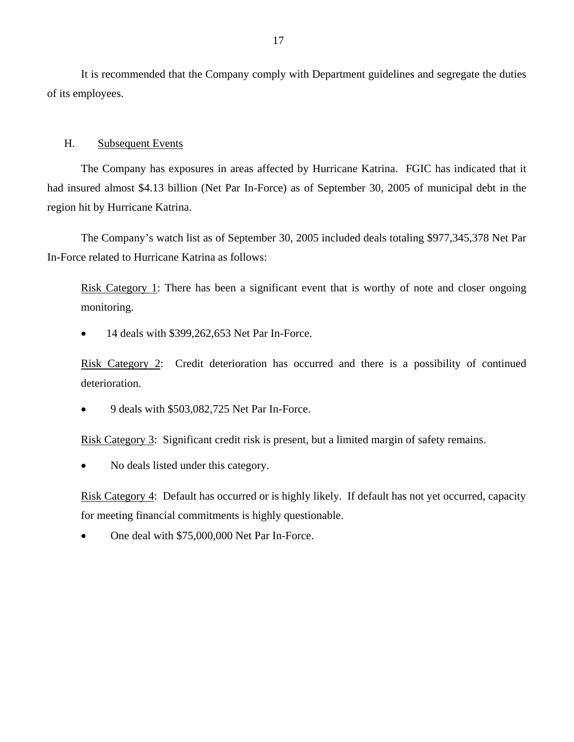<span id="page-20-0"></span>It is recommended that the Company comply with Department guidelines and segregate the duties of its employees.

## H. Subsequent Events

The Company has exposures in areas affected by Hurricane Katrina. FGIC has indicated that it had insured almost \$4.13 billion (Net Par In-Force) as of September 30, 2005 of municipal debt in the region hit by Hurricane Katrina.

The Company's watch list as of September 30, 2005 included deals totaling \$977,345,378 Net Par In-Force related to Hurricane Katrina as follows:

Risk Category 1: There has been a significant event that is worthy of note and closer ongoing monitoring.

• 14 deals with \$399,262,653 Net Par In-Force.

Risk Category 2: Credit deterioration has occurred and there is a possibility of continued deterioration.

• 9 deals with \$503,082,725 Net Par In-Force.

Risk Category 3: Significant credit risk is present, but a limited margin of safety remains.

• No deals listed under this category.

Risk Category 4: Default has occurred or is highly likely. If default has not yet occurred, capacity for meeting financial commitments is highly questionable.

• One deal with \$75,000,000 Net Par In-Force.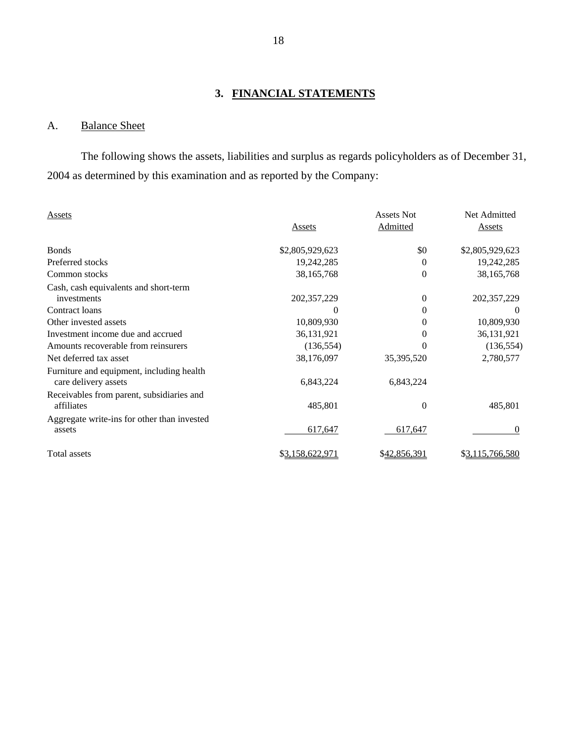# **3. FINANCIAL STATEMENTS**

# A. Balance Sheet

The following shows the assets, liabilities and surplus as regards policyholders as of December 31, 2004 as determined by this examination and as reported by the Company:

| Assets                                                            |                 | <b>Assets Not</b> | Net Admitted              |
|-------------------------------------------------------------------|-----------------|-------------------|---------------------------|
|                                                                   | Assets          | Admitted          | Assets                    |
| <b>Bonds</b>                                                      | \$2,805,929,623 | \$0               | \$2,805,929,623           |
| Preferred stocks                                                  | 19,242,285      | 0                 | 19,242,285                |
| Common stocks                                                     | 38,165,768      | 0                 | 38, 165, 768              |
| Cash, cash equivalents and short-term<br>investments              | 202,357,229     | 0                 |                           |
| Contract loans                                                    | $\theta$        | 0                 | 202, 357, 229<br>$\theta$ |
| Other invested assets                                             | 10,809,930      | 0                 | 10,809,930                |
| Investment income due and accrued                                 | 36,131,921      | $\theta$          | 36,131,921                |
| Amounts recoverable from reinsurers                               | (136, 554)      | 0                 | (136, 554)                |
| Net deferred tax asset                                            | 38,176,097      | 35,395,520        | 2,780,577                 |
| Furniture and equipment, including health<br>care delivery assets | 6,843,224       | 6,843,224         |                           |
| Receivables from parent, subsidiaries and<br>affiliates           | 485,801         | 0                 | 485,801                   |
| Aggregate write-ins for other than invested<br>assets             | 617,647         | 617,647           | $\Omega$                  |
| Total assets                                                      | \$3,158,622,971 | \$42,856,391      | \$3,115,766,580           |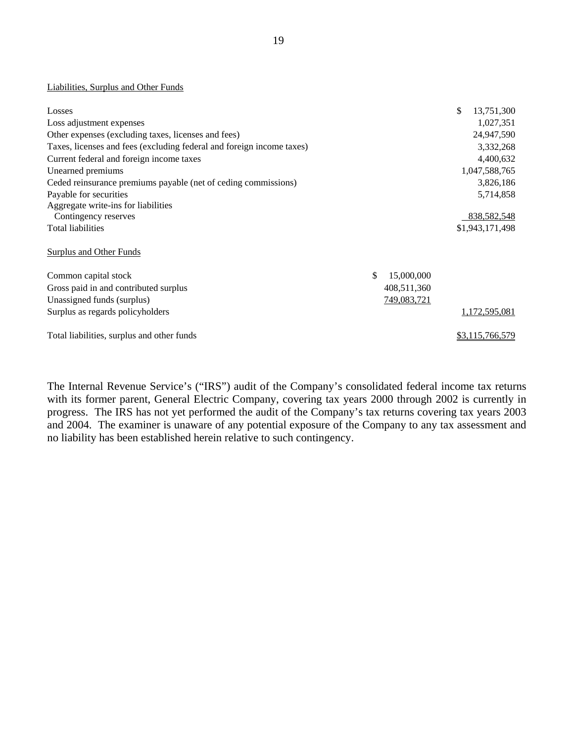#### Liabilities, Surplus and Other Funds

| Losses                                                                |                  | \$<br>13,751,300 |
|-----------------------------------------------------------------------|------------------|------------------|
| Loss adjustment expenses                                              |                  | 1,027,351        |
| Other expenses (excluding taxes, licenses and fees)                   |                  | 24,947,590       |
| Taxes, licenses and fees (excluding federal and foreign income taxes) |                  | 3,332,268        |
| Current federal and foreign income taxes                              |                  | 4,400,632        |
| Unearned premiums                                                     |                  | 1,047,588,765    |
| Ceded reinsurance premiums payable (net of ceding commissions)        |                  | 3,826,186        |
| Payable for securities                                                |                  | 5,714,858        |
| Aggregate write-ins for liabilities                                   |                  |                  |
| Contingency reserves                                                  |                  | 838, 582, 548    |
| Total liabilities                                                     |                  | \$1,943,171,498  |
| <b>Surplus and Other Funds</b>                                        |                  |                  |
| Common capital stock                                                  | \$<br>15,000,000 |                  |
| Gross paid in and contributed surplus                                 | 408,511,360      |                  |
| Unassigned funds (surplus)                                            | 749,083,721      |                  |
| Surplus as regards policyholders                                      |                  | 1,172,595,081    |
| Total liabilities, surplus and other funds                            |                  | \$3,115,766,579  |

The Internal Revenue Service's ("IRS") audit of the Company's consolidated federal income tax returns with its former parent, General Electric Company, covering tax years 2000 through 2002 is currently in progress. The IRS has not yet performed the audit of the Company's tax returns covering tax years 2003 and 2004. The examiner is unaware of any potential exposure of the Company to any tax assessment and no liability has been established herein relative to such contingency.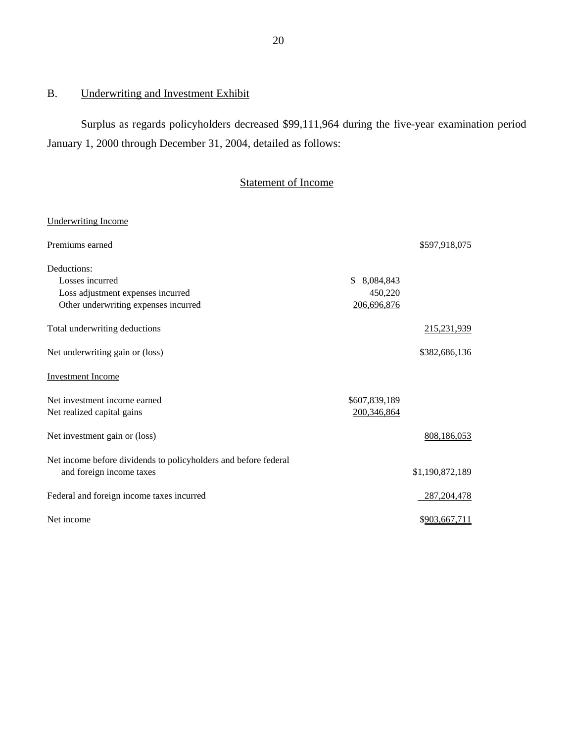# B. Underwriting and Investment Exhibit

Surplus as regards policyholders decreased \$99,111,964 during the five-year examination period January 1, 2000 through December 31, 2004, detailed as follows:

# Statement of Income

| Premiums earned<br>\$597,918,075<br>Deductions:<br>Losses incurred<br>\$<br>8,084,843<br>Loss adjustment expenses incurred<br>450,220<br>Other underwriting expenses incurred<br>206,696,876<br>Total underwriting deductions<br>215,231,939<br>\$382,686,136<br><b>Investment Income</b><br>\$607,839,189<br>Net realized capital gains<br>200,346,864<br>Net investment gain or (loss)<br>808,186,053<br>Net income before dividends to policyholders and before federal<br>\$1,190,872,189<br>and foreign income taxes<br>Federal and foreign income taxes incurred<br>287, 204, 478<br>Net income<br>\$903,667,711 | <b>Underwriting Income</b>      |  |
|------------------------------------------------------------------------------------------------------------------------------------------------------------------------------------------------------------------------------------------------------------------------------------------------------------------------------------------------------------------------------------------------------------------------------------------------------------------------------------------------------------------------------------------------------------------------------------------------------------------------|---------------------------------|--|
|                                                                                                                                                                                                                                                                                                                                                                                                                                                                                                                                                                                                                        |                                 |  |
|                                                                                                                                                                                                                                                                                                                                                                                                                                                                                                                                                                                                                        |                                 |  |
|                                                                                                                                                                                                                                                                                                                                                                                                                                                                                                                                                                                                                        |                                 |  |
|                                                                                                                                                                                                                                                                                                                                                                                                                                                                                                                                                                                                                        |                                 |  |
|                                                                                                                                                                                                                                                                                                                                                                                                                                                                                                                                                                                                                        |                                 |  |
|                                                                                                                                                                                                                                                                                                                                                                                                                                                                                                                                                                                                                        |                                 |  |
|                                                                                                                                                                                                                                                                                                                                                                                                                                                                                                                                                                                                                        | Net underwriting gain or (loss) |  |
|                                                                                                                                                                                                                                                                                                                                                                                                                                                                                                                                                                                                                        |                                 |  |
|                                                                                                                                                                                                                                                                                                                                                                                                                                                                                                                                                                                                                        | Net investment income earned    |  |
|                                                                                                                                                                                                                                                                                                                                                                                                                                                                                                                                                                                                                        |                                 |  |
|                                                                                                                                                                                                                                                                                                                                                                                                                                                                                                                                                                                                                        |                                 |  |
|                                                                                                                                                                                                                                                                                                                                                                                                                                                                                                                                                                                                                        |                                 |  |
|                                                                                                                                                                                                                                                                                                                                                                                                                                                                                                                                                                                                                        |                                 |  |
|                                                                                                                                                                                                                                                                                                                                                                                                                                                                                                                                                                                                                        |                                 |  |
|                                                                                                                                                                                                                                                                                                                                                                                                                                                                                                                                                                                                                        |                                 |  |
|                                                                                                                                                                                                                                                                                                                                                                                                                                                                                                                                                                                                                        |                                 |  |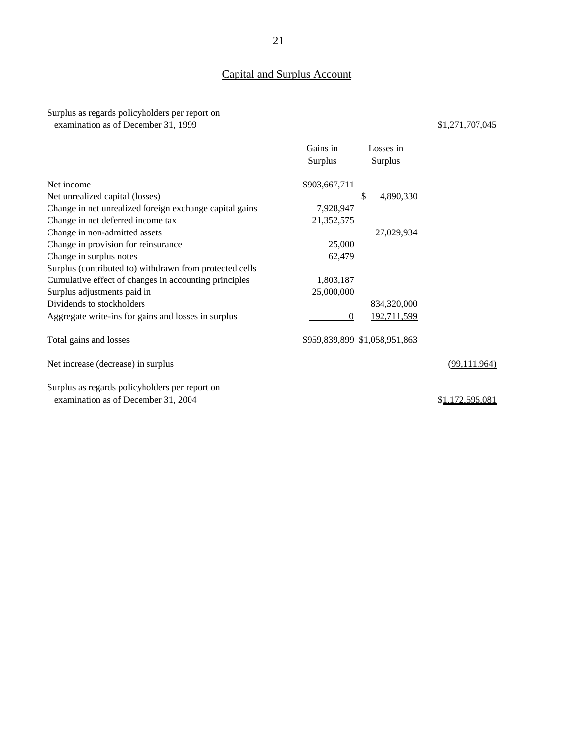# Capital and Surplus Account

## Surplus as regards policyholders per report on examination as of December 31, 1999 \$1,271,707,045

|                                                                                       | Gains in       | Losses in                     |                         |
|---------------------------------------------------------------------------------------|----------------|-------------------------------|-------------------------|
|                                                                                       | <b>Surplus</b> | <b>Surplus</b>                |                         |
| Net income                                                                            | \$903,667,711  |                               |                         |
| Net unrealized capital (losses)                                                       |                | \$<br>4,890,330               |                         |
| Change in net unrealized foreign exchange capital gains                               | 7,928,947      |                               |                         |
| Change in net deferred income tax                                                     | 21,352,575     |                               |                         |
| Change in non-admitted assets                                                         |                | 27,029,934                    |                         |
| Change in provision for reinsurance                                                   | 25,000         |                               |                         |
| Change in surplus notes                                                               | 62,479         |                               |                         |
| Surplus (contributed to) withdrawn from protected cells                               |                |                               |                         |
| Cumulative effect of changes in accounting principles                                 | 1,803,187      |                               |                         |
| Surplus adjustments paid in                                                           | 25,000,000     |                               |                         |
| Dividends to stockholders                                                             |                | 834,320,000                   |                         |
| Aggregate write-ins for gains and losses in surplus                                   | $\theta$       | 192,711,599                   |                         |
| Total gains and losses                                                                |                | \$959,839,899 \$1,058,951,863 |                         |
| Net increase (decrease) in surplus                                                    |                |                               | (99, 111, 964)          |
| Surplus as regards policyholders per report on<br>examination as of December 31, 2004 |                |                               | \$ <u>1,172,595,081</u> |
|                                                                                       |                |                               |                         |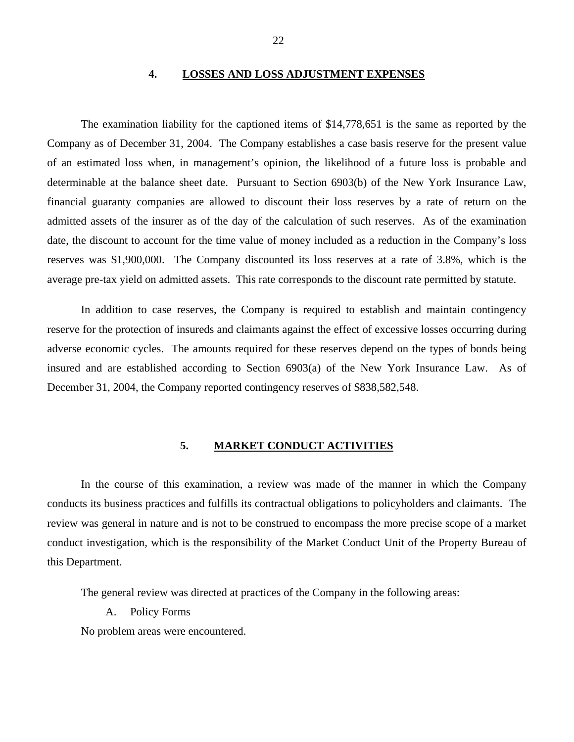## **4. LOSSES AND LOSS ADJUSTMENT EXPENSES**

<span id="page-25-0"></span>The examination liability for the captioned items of \$14,778,651 is the same as reported by the Company as of December 31, 2004. The Company establishes a case basis reserve for the present value of an estimated loss when, in management's opinion, the likelihood of a future loss is probable and determinable at the balance sheet date. Pursuant to Section 6903(b) of the New York Insurance Law, financial guaranty companies are allowed to discount their loss reserves by a rate of return on the admitted assets of the insurer as of the day of the calculation of such reserves. As of the examination date, the discount to account for the time value of money included as a reduction in the Company's loss reserves was \$1,900,000. The Company discounted its loss reserves at a rate of 3.8%, which is the average pre-tax yield on admitted assets. This rate corresponds to the discount rate permitted by statute.

In addition to case reserves, the Company is required to establish and maintain contingency reserve for the protection of insureds and claimants against the effect of excessive losses occurring during adverse economic cycles. The amounts required for these reserves depend on the types of bonds being insured and are established according to Section 6903(a) of the New York Insurance Law. As of December 31, 2004, the Company reported contingency reserves of \$838,582,548.

#### **5. MARKET CONDUCT ACTIVITIES**

In the course of this examination, a review was made of the manner in which the Company conducts its business practices and fulfills its contractual obligations to policyholders and claimants. The review was general in nature and is not to be construed to encompass the more precise scope of a market conduct investigation, which is the responsibility of the Market Conduct Unit of the Property Bureau of this Department.

The general review was directed at practices of the Company in the following areas:

A. Policy Forms

No problem areas were encountered.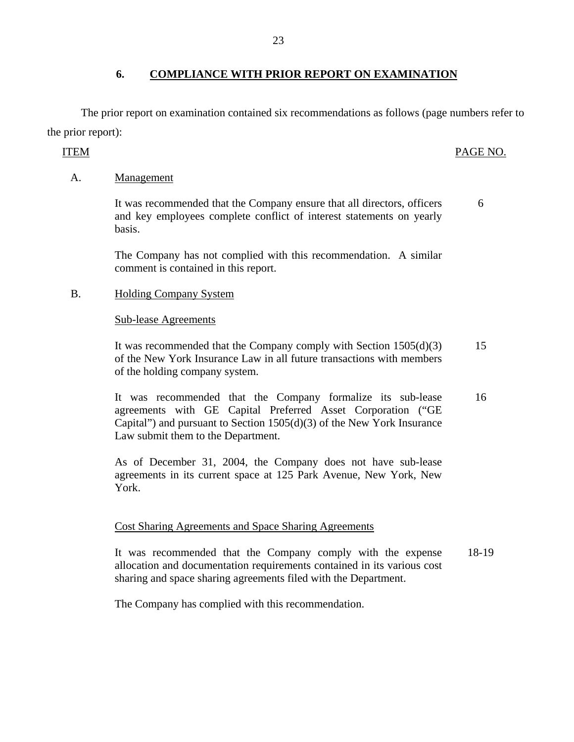The prior report on examination contained six recommendations as follows (page numbers refer to the prior report):

# ITEM PAGE NO.

6

# A. Management

It was recommended that the Company ensure that all directors, officers and key employees complete conflict of interest statements on yearly basis.

The Company has not complied with this recommendation. A similar comment is contained in this report.

# B. Holding Company System

# Sub-lease Agreements

It was recommended that the Company comply with Section 1505(d)(3) of the New York Insurance Law in all future transactions with members of the holding company system. 15

It was recommended that the Company formalize its sub-lease agreements with GE Capital Preferred Asset Corporation ("GE Capital") and pursuant to Section  $1505(d)(3)$  of the New York Insurance Law submit them to the Department. 16

As of December 31, 2004, the Company does not have sub-lease agreements in its current space at 125 Park Avenue, New York, New York.

# Cost Sharing Agreements and Space Sharing Agreements

It was recommended that the Company comply with the expense 18-19 allocation and documentation requirements contained in its various cost sharing and space sharing agreements filed with the Department.

The Company has complied with this recommendation.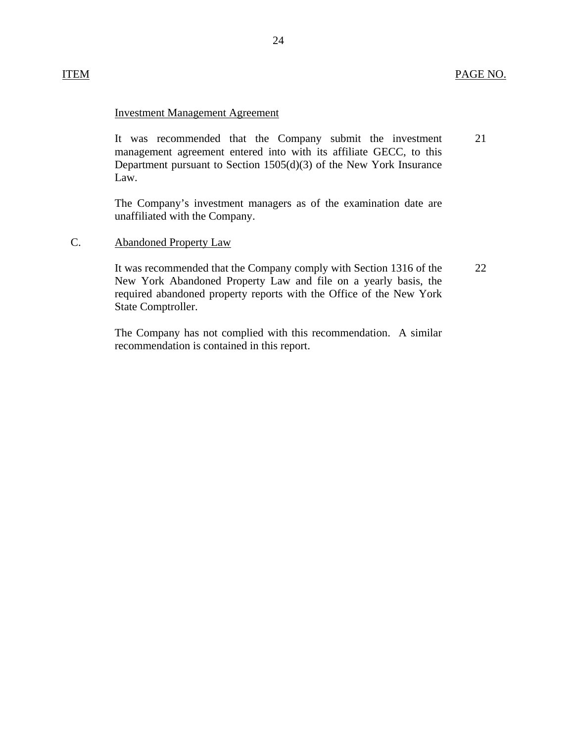## ITEM PAGE NO.

## Investment Management Agreement

It was recommended that the Company submit the investment management agreement entered into with its affiliate GECC, to this Department pursuant to Section 1505(d)(3) of the New York Insurance Law. 21

The Company's investment managers as of the examination date are unaffiliated with the Company.

#### C. Abandoned Property Law

It was recommended that the Company comply with Section 1316 of the New York Abandoned Property Law and file on a yearly basis, the required abandoned property reports with the Office of the New York State Comptroller.

The Company has not complied with this recommendation. A similar recommendation is contained in this report.

22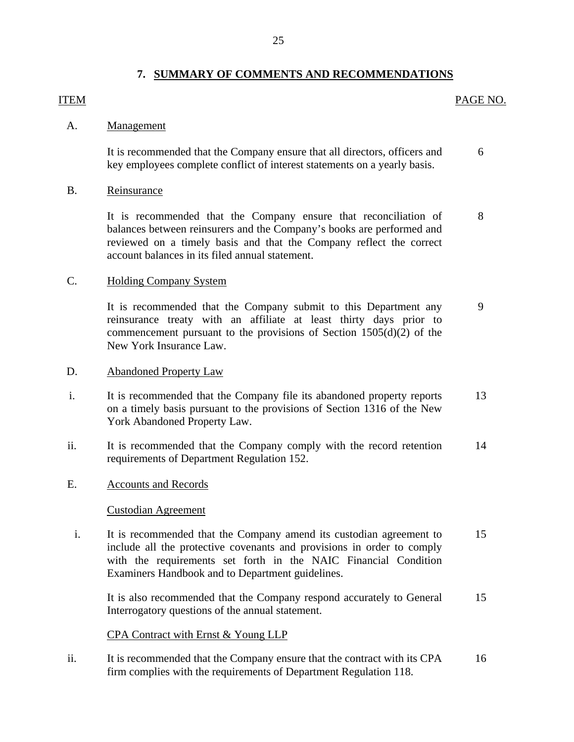## **7. SUMMARY OF COMMENTS AND RECOMMENDATIONS**

## <span id="page-28-0"></span>ITEM PAGE NO.

## A. Management

It is recommended that the Company ensure that all directors, officers and 6 key employees complete conflict of interest statements on a yearly basis.

## B. Reinsurance

It is recommended that the Company ensure that reconciliation of 8 balances between reinsurers and the Company's books are performed and reviewed on a timely basis and that the Company reflect the correct account balances in its filed annual statement.

## C. Holding Company System

It is recommended that the Company submit to this Department any 9 reinsurance treaty with an affiliate at least thirty days prior to commencement pursuant to the provisions of Section 1505(d)(2) of the New York Insurance Law.

## D. Abandoned Property Law

- i. It is recommended that the Company file its abandoned property reports 13 on a timely basis pursuant to the provisions of Section 1316 of the New York Abandoned Property Law.
- ii. It is recommended that the Company comply with the record retention 14 requirements of Department Regulation 152.

## E. Accounts and Records

## Custodian Agreement

i. It is recommended that the Company amend its custodian agreement to 15 include all the protective covenants and provisions in order to comply with the requirements set forth in the NAIC Financial Condition Examiners Handbook and to Department guidelines.

It is also recommended that the Company respond accurately to General 15 Interrogatory questions of the annual statement.

CPA Contract with Ernst & Young LLP

ii. It is recommended that the Company ensure that the contract with its CPA 16 firm complies with the requirements of Department Regulation 118.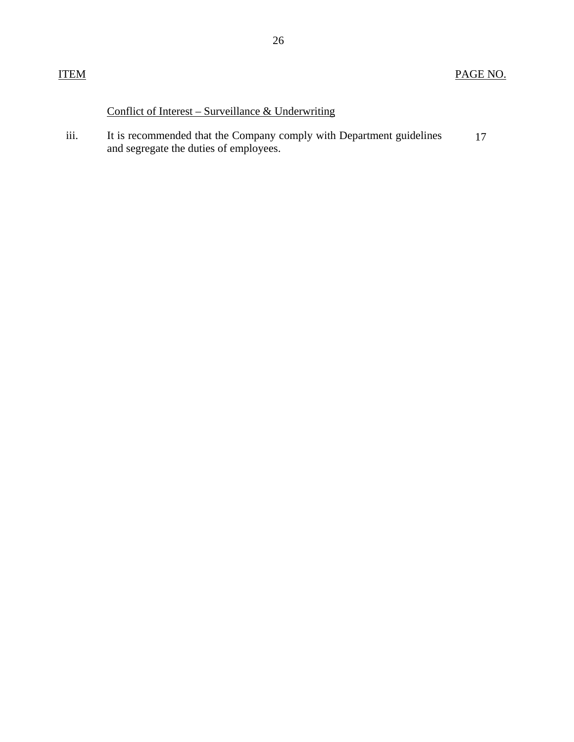# Conflict of Interest – Surveillance & Underwriting

iii. It is recommended that the Company comply with Department guidelines 17 and segregate the duties of employees.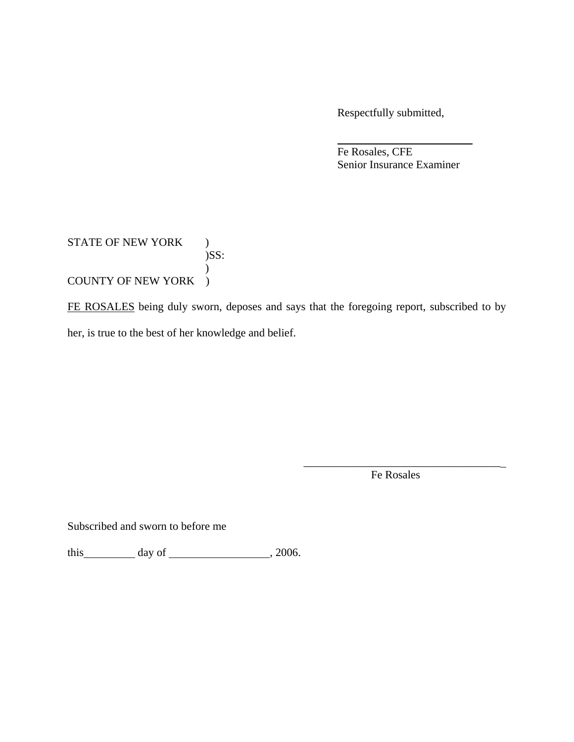Respectfully submitted,

 Fe Rosales, CFE Senior Insurance Examiner

# STATE OF NEW YORK )  $)$ SS:  $\mathcal{L}$ COUNTY OF NEW YORK )

FE ROSALES being duly sworn, deposes and says that the foregoing report, subscribed to by her, is true to the best of her knowledge and belief.

> \_\_\_\_\_\_\_\_\_\_\_\_\_\_\_\_\_\_\_\_\_\_\_\_\_\_\_\_\_\_\_\_\_\_\_ Fe Rosales

Subscribed and sworn to before me

this  $\qquad \qquad$  day of  $\qquad \qquad$  , 2006.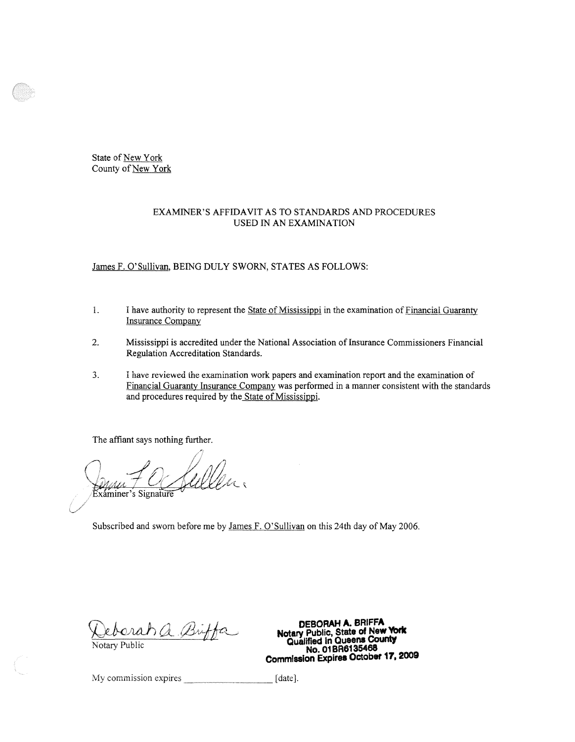State of New York County of New York

#### EXAMINER'S AFFIDAVIT AS TO STANDARDS AND PROCEDURES USED IN AN EXAMINATION

James F. O'Sullivan, BEING DULY SWORN, STATES AS FOLLOWS:

- 1. I have authority to represent the State of Mississippi in the examination of Financial Guaranty Insurance Company
- 2. Mississippi is accredited under the National Association of Insurance Commissioners Financial Regulation Accreditation Standards.
- 3. I have reviewed the examination work papers and examination report and the examination of Financial Guaranty Insurance Company was performed in a manner consistent with the standards and procedures required by the State of Mississippi.

The affiant says nothing further.

Exáminer's Signature

Subscribed and sworn before me by James F. O'Sullivan on this 24th day of May 2006.

**DEBORAH A. BRIFFA**<br> **Notary Public, State of New York Notary Public, State of New York Qualified in Queens County**<br>No. 01 BR6135468 **Commission Expires October 17, 2009** 

My commission expires [ date].